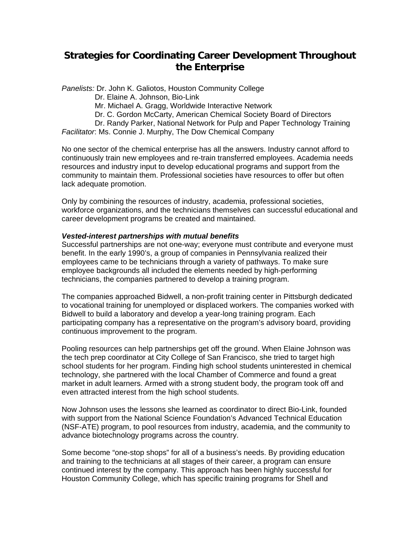# **Strategies for Coordinating Career Development Throughout the Enterprise**

*Panelists:* Dr. John K. Galiotos, Houston Community College

Dr. Elaine A. Johnson, Bio-Link

Mr. Michael A. Gragg, Worldwide Interactive Network

Dr. C. Gordon McCarty, American Chemical Society Board of Directors

 Dr. Randy Parker, National Network for Pulp and Paper Technology Training *Facilitator*: Ms. Connie J. Murphy, The Dow Chemical Company

No one sector of the chemical enterprise has all the answers. Industry cannot afford to continuously train new employees and re-train transferred employees. Academia needs resources and industry input to develop educational programs and support from the community to maintain them. Professional societies have resources to offer but often lack adequate promotion.

Only by combining the resources of industry, academia, professional societies, workforce organizations, and the technicians themselves can successful educational and career development programs be created and maintained.

#### *Vested-interest partnerships with mutual benefits*

Successful partnerships are not one-way; everyone must contribute and everyone must benefit. In the early 1990's, a group of companies in Pennsylvania realized their employees came to be technicians through a variety of pathways. To make sure employee backgrounds all included the elements needed by high-performing technicians, the companies partnered to develop a training program.

The companies approached Bidwell, a non-profit training center in Pittsburgh dedicated to vocational training for unemployed or displaced workers. The companies worked with Bidwell to build a laboratory and develop a year-long training program. Each participating company has a representative on the program's advisory board, providing continuous improvement to the program.

Pooling resources can help partnerships get off the ground. When Elaine Johnson was the tech prep coordinator at City College of San Francisco, she tried to target high school students for her program. Finding high school students uninterested in chemical technology, she partnered with the local Chamber of Commerce and found a great market in adult learners. Armed with a strong student body, the program took off and even attracted interest from the high school students.

Now Johnson uses the lessons she learned as coordinator to direct Bio-Link, founded with support from the National Science Foundation's Advanced Technical Education (NSF-ATE) program, to pool resources from industry, academia, and the community to advance biotechnology programs across the country.

Some become "one-stop shops" for all of a business's needs. By providing education and training to the technicians at all stages of their career, a program can ensure continued interest by the company. This approach has been highly successful for Houston Community College, which has specific training programs for Shell and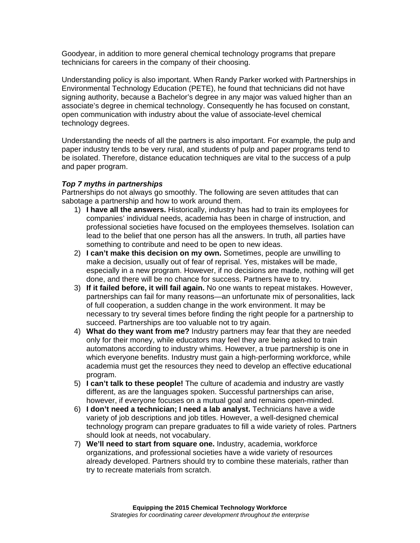Goodyear, in addition to more general chemical technology programs that prepare technicians for careers in the company of their choosing.

Understanding policy is also important. When Randy Parker worked with Partnerships in Environmental Technology Education (PETE), he found that technicians did not have signing authority, because a Bachelor's degree in any major was valued higher than an associate's degree in chemical technology. Consequently he has focused on constant, open communication with industry about the value of associate-level chemical technology degrees.

Understanding the needs of all the partners is also important. For example, the pulp and paper industry tends to be very rural, and students of pulp and paper programs tend to be isolated. Therefore, distance education techniques are vital to the success of a pulp and paper program.

## *Top 7 myths in partnerships*

Partnerships do not always go smoothly. The following are seven attitudes that can sabotage a partnership and how to work around them.

- 1) **I have all the answers.** Historically, industry has had to train its employees for companies' individual needs, academia has been in charge of instruction, and professional societies have focused on the employees themselves. Isolation can lead to the belief that one person has all the answers. In truth, all parties have something to contribute and need to be open to new ideas.
- 2) **I can't make this decision on my own.** Sometimes, people are unwilling to make a decision, usually out of fear of reprisal. Yes, mistakes will be made, especially in a new program. However, if no decisions are made, nothing will get done, and there will be no chance for success. Partners have to try.
- 3) **If it failed before, it will fail again.** No one wants to repeat mistakes. However, partnerships can fail for many reasons—an unfortunate mix of personalities, lack of full cooperation, a sudden change in the work environment. It may be necessary to try several times before finding the right people for a partnership to succeed. Partnerships are too valuable not to try again.
- 4) **What do they want from me?** Industry partners may fear that they are needed only for their money, while educators may feel they are being asked to train automatons according to industry whims. However, a true partnership is one in which everyone benefits. Industry must gain a high-performing workforce, while academia must get the resources they need to develop an effective educational program.
- 5) **I can't talk to these people!** The culture of academia and industry are vastly different, as are the languages spoken. Successful partnerships can arise, however, if everyone focuses on a mutual goal and remains open-minded.
- 6) **I don't need a technician; I need a lab analyst.** Technicians have a wide variety of job descriptions and job titles. However, a well-designed chemical technology program can prepare graduates to fill a wide variety of roles. Partners should look at needs, not vocabulary.
- 7) **We'll need to start from square one.** Industry, academia, workforce organizations, and professional societies have a wide variety of resources already developed. Partners should try to combine these materials, rather than try to recreate materials from scratch.